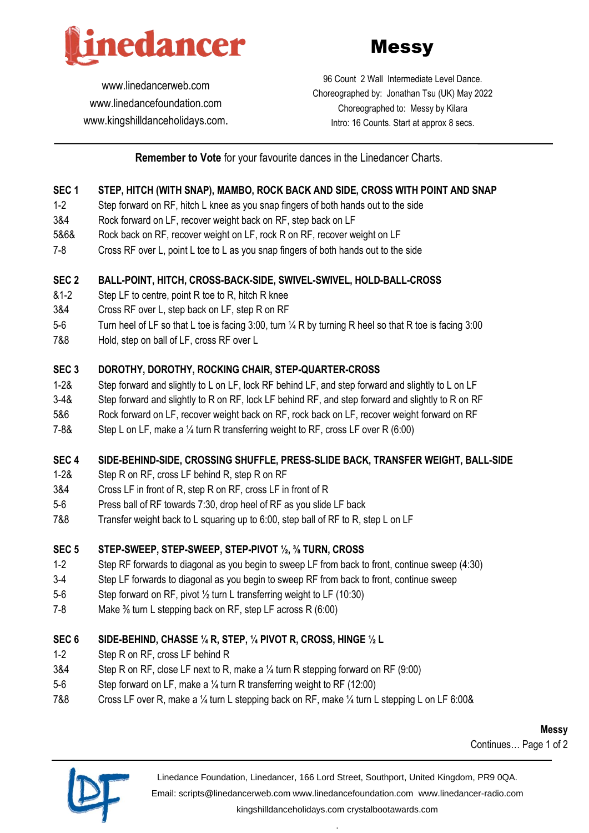



[www.linedancerweb.com](http://www.linedancerweb.com/) [www.linedancefoundation.com](http://www.linedancerweb.com/)  [www.kingshilldanceholidays.com](http://www.kingshilldanceholidays.com/).

96 Count 2 Wall Intermediate Level Dance. Choreographed by: Jonathan Tsu (UK) May 2022 Choreographed to: Messy by Kilara Intro: 16 Counts. Start at approx 8 secs.

### **Remember to Vote** for your favourite dances in the Linedancer Charts.

### **SEC 1 STEP, HITCH (WITH SNAP), MAMBO, ROCK BACK AND SIDE, CROSS WITH POINT AND SNAP**

- 1-2 Step forward on RF, hitch L knee as you snap fingers of both hands out to the side
- 3&4 Rock forward on LF, recover weight back on RF, step back on LF
- 5&6& Rock back on RF, recover weight on LF, rock R on RF, recover weight on LF
- 7-8 Cross RF over L, point L toe to L as you snap fingers of both hands out to the side

### **SEC 2 BALL-POINT, HITCH, CROSS-BACK-SIDE, SWIVEL-SWIVEL, HOLD-BALL-CROSS**

- &1-2 Step LF to centre, point R toe to R, hitch R knee
- 3&4 Cross RF over L, step back on LF, step R on RF
- 5-6 Turn heel of LF so that L toe is facing 3:00, turn ¼ R by turning R heel so that R toe is facing 3:00
- 7&8 Hold, step on ball of LF, cross RF over L

### **SEC 3 DOROTHY, DOROTHY, ROCKING CHAIR, STEP-QUARTER-CROSS**

- 1-2& Step forward and slightly to L on LF, lock RF behind LF, and step forward and slightly to L on LF
- 3-4& Step forward and slightly to R on RF, lock LF behind RF, and step forward and slightly to R on RF
- 5&6 Rock forward on LF, recover weight back on RF, rock back on LF, recover weight forward on RF
- 7-8& Step L on LF, make a ¼ turn R transferring weight to RF, cross LF over R (6:00)

#### **SEC 4 SIDE-BEHIND-SIDE, CROSSING SHUFFLE, PRESS-SLIDE BACK, TRANSFER WEIGHT, BALL-SIDE**

- 1-2& Step R on RF, cross LF behind R, step R on RF
- 3&4 Cross LF in front of R, step R on RF, cross LF in front of R
- 5-6 Press ball of RF towards 7:30, drop heel of RF as you slide LF back
- 7&8 Transfer weight back to L squaring up to 6:00, step ball of RF to R, step L on LF

### **SEC 5 STEP-SWEEP, STEP-SWEEP, STEP-PIVOT ½, ⅜ TURN, CROSS**

- 1-2 Step RF forwards to diagonal as you begin to sweep LF from back to front, continue sweep (4:30)
- 3-4 Step LF forwards to diagonal as you begin to sweep RF from back to front, continue sweep
- 5-6 Step forward on RF, pivot ½ turn L transferring weight to LF (10:30)
- 7-8 Make <sup>3/</sup><sub>8</sub> turn L stepping back on RF, step LF across R (6:00)

### **SEC 6 SIDE-BEHIND, CHASSE ¼ R, STEP, ¼ PIVOT R, CROSS, HINGE ½ L**

- 1-2 Step R on RF, cross LF behind R
- 3&4 Step R on RF, close LF next to R, make a ¼ turn R stepping forward on RF (9:00)
- 5-6 Step forward on LF, make a ¼ turn R transferring weight to RF (12:00)
- 7&8 Cross LF over R, make a ¼ turn L stepping back on RF, make ¼ turn L stepping L on LF 6:00&

**Messy** Continues… Page 1 of 2



Linedance Foundation, Linedancer, 166 Lord Street, Southport, United Kingdom, PR9 0QA.

Email: [scripts@linedancerweb.com](mailto:scripts@linedancerweb.com) [www.linedancefoundation.com](http://www.linedancefoundation.com/) [www.linedancer-radio.com](http://www.linedancer-radio.com/)

[kingshilldanceholidays.com](http://kingshilldanceholidays.com/) [crystalbootawards.com](http://crystalbootawards.com/) .